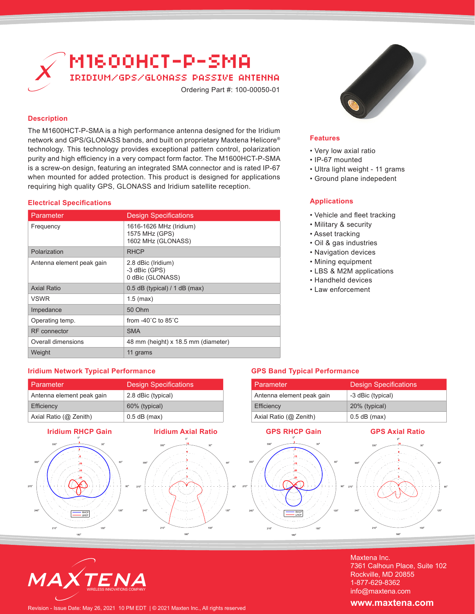

# **Description**

The M1600HCT-P-SMA is a high performance antenna designed for the Iridium network and GPS/GLONASS bands, and built on proprietary Maxtena Helicore® technology. This technology provides exceptional pattern control, polarization purity and high efficiency in a very compact form factor. The M1600HCT-P-SMA is a screw-on design, featuring an integrated SMA connector and is rated IP-67 when mounted for added protection. This product is designed for applications requiring high quality GPS, GLONASS and Iridium satellite reception.

# **Electrical Specifications**

| Parameter                 | <b>Design Specifications</b>                                    |
|---------------------------|-----------------------------------------------------------------|
| Frequency                 | 1616-1626 MHz (Iridium)<br>1575 MHz (GPS)<br>1602 MHz (GLONASS) |
| Polarization              | <b>RHCP</b>                                                     |
| Antenna element peak gain | 2.8 dBic (Iridium)<br>-3 dBic (GPS)<br>0 dBic (GLONASS)         |
| <b>Axial Ratio</b>        | $0.5$ dB (typical) / 1 dB (max)                                 |
| <b>VSWR</b>               | $1.5$ (max)                                                     |
| Impedance                 | 50 Ohm                                                          |
| Operating temp.           | from $-40^{\circ}$ C to 85 $^{\circ}$ C                         |
| RF connector              | <b>SMA</b>                                                      |
| Overall dimensions        | 48 mm (height) x 18.5 mm (diameter)                             |
| Weight                    | 11 grams                                                        |

## **Features**

- Very low axial ratio
- IP-67 mounted
- Ultra light weight 11 grams
- Ground plane indepedent

# **Applications**

- Vehicle and fleet tracking
- Military & security
- Asset tracking
- Oil & gas industries
- Navigation devices
- Mining equipment
- LBS & M2M applications
- Handheld devices
- Law enforcement

Parameter Design Specifications

Antenna element peak gain -3 dBic (typical) Efficiency 20% (typical) Axial Ratio (@ Zenith) 0.5 dB (max)

**GPS Band Typical Performance**

# **Iridium Network Typical Performance**

| Parameter                 | <b>Design Specifications</b> |
|---------------------------|------------------------------|
| Antenna element peak gain | 2.8 dBic (typical)           |
| Efficiency                | 60% (typical)                |
| Axial Ratio (@ Zenith)    | $0.5$ dB (max)               |









Maxtena Inc. 7361 Calhoun Place, Suite 102 Rockville, MD 20855 1-877-629-8362 info@maxtena.com

Revision - Issue Date: May 26, 2021 10 PM EDT | © 2021 Maxten Inc., All rights reserved

WIRELESS INNOVATIONS COMPANY

## **www.maxtena.com**